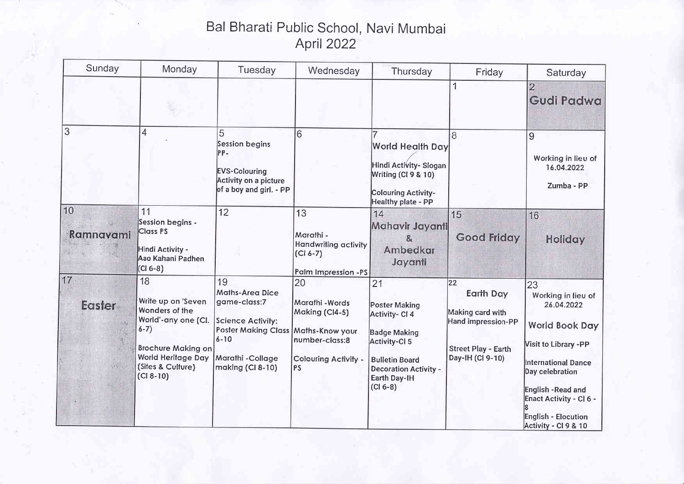## Bal Bharati Public School, Navi Mumbai April 2022

| Sunday                                                                                                                                                | Monday                                                                                                                                                                      | Tuesday                                                                                                                                                                | Wednesday                                                                                      | Thursday                                                                                                                                                      | Friday                                                                                                                | Saturday                                                                                                                                                                                                                                       |
|-------------------------------------------------------------------------------------------------------------------------------------------------------|-----------------------------------------------------------------------------------------------------------------------------------------------------------------------------|------------------------------------------------------------------------------------------------------------------------------------------------------------------------|------------------------------------------------------------------------------------------------|---------------------------------------------------------------------------------------------------------------------------------------------------------------|-----------------------------------------------------------------------------------------------------------------------|------------------------------------------------------------------------------------------------------------------------------------------------------------------------------------------------------------------------------------------------|
|                                                                                                                                                       |                                                                                                                                                                             |                                                                                                                                                                        |                                                                                                |                                                                                                                                                               |                                                                                                                       | $\overline{2}$<br>Gudi Padwa                                                                                                                                                                                                                   |
| 3                                                                                                                                                     | 4                                                                                                                                                                           | 5<br>Session begins<br>PP-<br><b>EVS-Colouring</b><br>Activity on a picture<br>of a boy and girl. - PP                                                                 | 6                                                                                              | <b>World Health Day</b><br>Hindi Activity- Slogan<br>Writing (CI 9 & 10)<br>Colouring Activity-<br>Healthy plate - PP                                         | 8                                                                                                                     | 9<br>Working in lieu of<br>16.04.2022<br>Zumba - PP                                                                                                                                                                                            |
| 10<br>Ramnavami                                                                                                                                       | 11<br>Session begins -<br><b>Class PS</b><br>Hindi Activity -<br>Aao Kahani Padhen<br>$(Cl 6-8)$                                                                            | 12                                                                                                                                                                     | 13<br>Marathi -<br><b>Handwriting activity</b><br>$(Cl 6-7)$<br>Palm Impression -PS            | 14<br>Mahavir Jayanti<br>$\mathbf{R}$<br>Ambedkar<br>Jayanti                                                                                                  | 15<br><b>Good Friday</b>                                                                                              | 16<br>Holiday                                                                                                                                                                                                                                  |
| 17.<br><b>Easter</b><br>$\label{eq:2.1} \mathcal{L}_{\mathcal{H}}^{\mathcal{L}_{\mathcal{H}}}(\mathcal{L}_{\mathcal{H}}^{\mathcal{L}_{\mathcal{H}}})$ | 18<br>Write up on 'Seven<br>Wonders of the<br>World'-any one (Cl.<br>$6 - 7)$<br><b>Brochure Making on</b><br><b>World Heritage Day</b><br>(Sites & Culture)<br>$(CI 8-10)$ | 19<br><b>Maths-Area Dice</b><br>game-class:7<br><b>Science Activity:</b><br>Poster Making Class   Maths-Know your<br>$6 - 10$<br>Marathi - Collage<br>making (CI 8-10) | 20<br>Marathi - Words<br>Making (CI4-5)<br>number-class:8<br>Colouring Activity -<br><b>PS</b> | 21<br>Poster Making<br>Activity- CI 4<br>Badge Making<br>Activity-CI 5<br><b>Bulletin Board</b><br><b>Decoration Activity -</b><br>Earth Day-IH<br>$(Cl 6-8)$ | $ 22\rangle$<br>Earth Day<br>Making card with<br>Hand impression-PP<br><b>Street Play - Earth</b><br>Day-IH (Cl 9-10) | 23<br>Working in lieu of<br>26.04.2022<br><b>World Book Day</b><br>Visit to Library -PP<br><b>International Dance</b><br>Day celebration<br>English -Read and<br>Enact Activity - CI 6 -<br><b>English - Elocution</b><br>Activity - CI 9 & 10 |